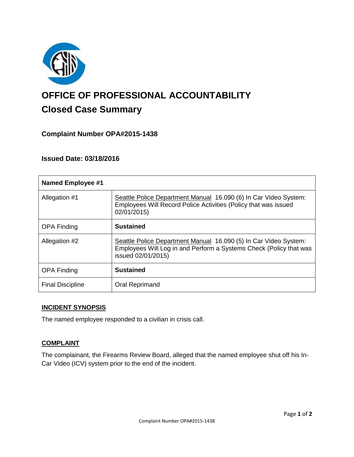

# **OFFICE OF PROFESSIONAL ACCOUNTABILITY Closed Case Summary**

## **Complaint Number OPA#2015-1438**

## **Issued Date: 03/18/2016**

| <b>Named Employee #1</b> |                                                                                                                                                              |
|--------------------------|--------------------------------------------------------------------------------------------------------------------------------------------------------------|
| Allegation #1            | Seattle Police Department Manual 16.090 (6) In Car Video System:<br>Employees Will Record Police Activities (Policy that was issued<br>02/01/2015)           |
| <b>OPA Finding</b>       | <b>Sustained</b>                                                                                                                                             |
| Allegation #2            | Seattle Police Department Manual 16.090 (5) In Car Video System:<br>Employees Will Log in and Perform a Systems Check (Policy that was<br>issued 02/01/2015) |
| <b>OPA Finding</b>       | <b>Sustained</b>                                                                                                                                             |
| <b>Final Discipline</b>  | <b>Oral Reprimand</b>                                                                                                                                        |

#### **INCIDENT SYNOPSIS**

The named employee responded to a civilian in crisis call.

## **COMPLAINT**

The complainant, the Firearms Review Board, alleged that the named employee shut off his In-Car Video (ICV) system prior to the end of the incident.